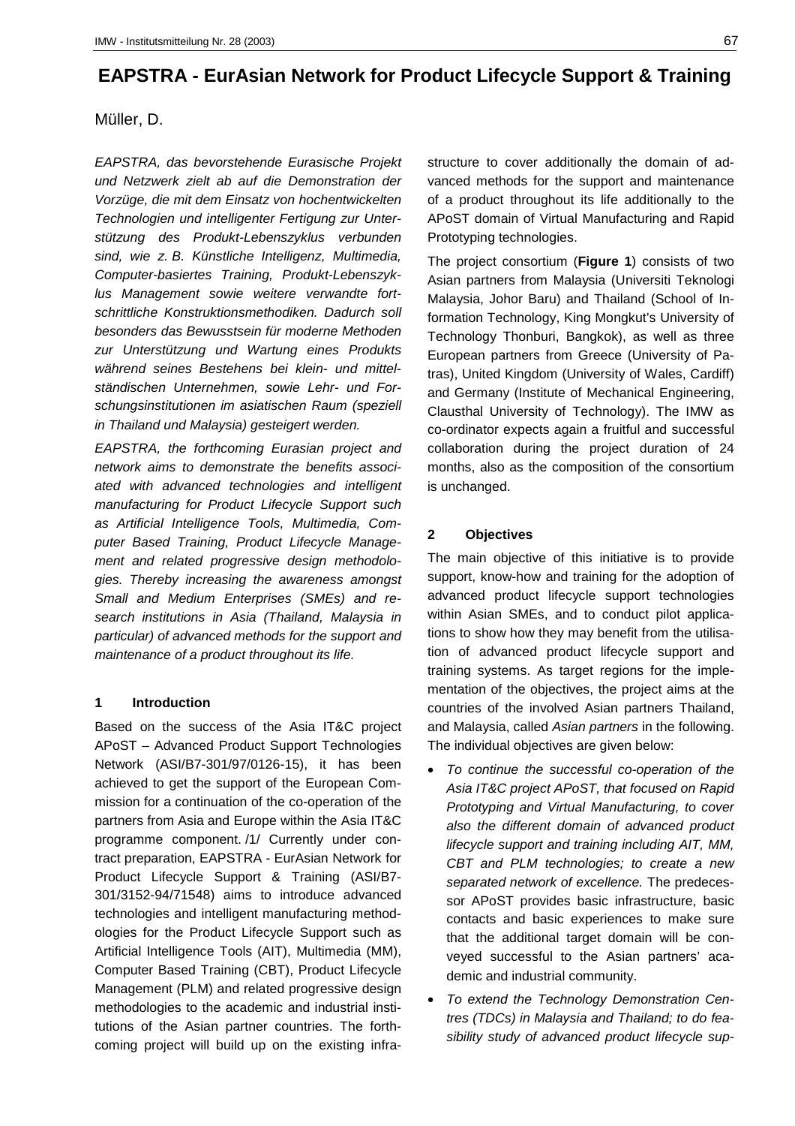# **EAPSTRA - EurAsian Network for Product Lifecycle Support & Training**

# Müller, D.

*EAPSTRA, das bevorstehende Eurasische Projekt und Netzwerk zielt ab auf die Demonstration der Vorzüge, die mit dem Einsatz von hochentwickelten Technologien und intelligenter Fertigung zur Unterstützung des Produkt-Lebenszyklus verbunden sind, wie z. B. Künstliche Intelligenz, Multimedia, Computer-basiertes Training, Produkt-Lebenszyklus Management sowie weitere verwandte fortschrittliche Konstruktionsmethodiken. Dadurch soll besonders das Bewusstsein für moderne Methoden zur Unterstützung und Wartung eines Produkts während seines Bestehens bei klein- und mittelständischen Unternehmen, sowie Lehr- und Forschungsinstitutionen im asiatischen Raum (speziell in Thailand und Malaysia) gesteigert werden.*

*EAPSTRA, the forthcoming Eurasian project and network aims to demonstrate the benefits associated with advanced technologies and intelligent manufacturing for Product Lifecycle Support such as Artificial Intelligence Tools, Multimedia, Computer Based Training, Product Lifecycle Management and related progressive design methodologies. Thereby increasing the awareness amongst Small and Medium Enterprises (SMEs) and research institutions in Asia (Thailand, Malaysia in particular) of advanced methods for the support and maintenance of a product throughout its life.*

## **1 Introduction**

Based on the success of the Asia IT&C project APoST – Advanced Product Support Technologies Network (ASI/B7-301/97/0126-15), it has been achieved to get the support of the European Commission for a continuation of the co-operation of the partners from Asia and Europe within the Asia IT&C programme component. /1/ Currently under contract preparation, EAPSTRA - EurAsian Network for Product Lifecycle Support & Training (ASI/B7- 301/3152-94/71548) aims to introduce advanced technologies and intelligent manufacturing methodologies for the Product Lifecycle Support such as Artificial Intelligence Tools (AIT), Multimedia (MM), Computer Based Training (CBT), Product Lifecycle Management (PLM) and related progressive design methodologies to the academic and industrial institutions of the Asian partner countries. The forthcoming project will build up on the existing infrastructure to cover additionally the domain of advanced methods for the support and maintenance of a product throughout its life additionally to the APoST domain of Virtual Manufacturing and Rapid Prototyping technologies.

The project consortium (**Figure 1**) consists of two Asian partners from Malaysia (Universiti Teknologi Malaysia, Johor Baru) and Thailand (School of Information Technology, King Mongkut's University of Technology Thonburi, Bangkok), as well as three European partners from Greece (University of Patras), United Kingdom (University of Wales, Cardiff) and Germany (Institute of Mechanical Engineering, Clausthal University of Technology). The IMW as co-ordinator expects again a fruitful and successful collaboration during the project duration of 24 months, also as the composition of the consortium is unchanged.

# **2 Objectives**

The main objective of this initiative is to provide support, know-how and training for the adoption of advanced product lifecycle support technologies within Asian SMEs, and to conduct pilot applications to show how they may benefit from the utilisation of advanced product lifecycle support and training systems. As target regions for the implementation of the objectives, the project aims at the countries of the involved Asian partners Thailand, and Malaysia, called *Asian partners* in the following. The individual objectives are given below:

- *To continue the successful co-operation of the Asia IT&C project APoST, that focused on Rapid Prototyping and Virtual Manufacturing, to cover also the different domain of advanced product lifecycle support and training including AIT, MM, CBT and PLM technologies; to create a new separated network of excellence.* The predecessor APoST provides basic infrastructure, basic contacts and basic experiences to make sure that the additional target domain will be conveyed successful to the Asian partners' academic and industrial community.
- *To extend the Technology Demonstration Centres (TDCs) in Malaysia and Thailand; to do feasibility study of advanced product lifecycle sup-*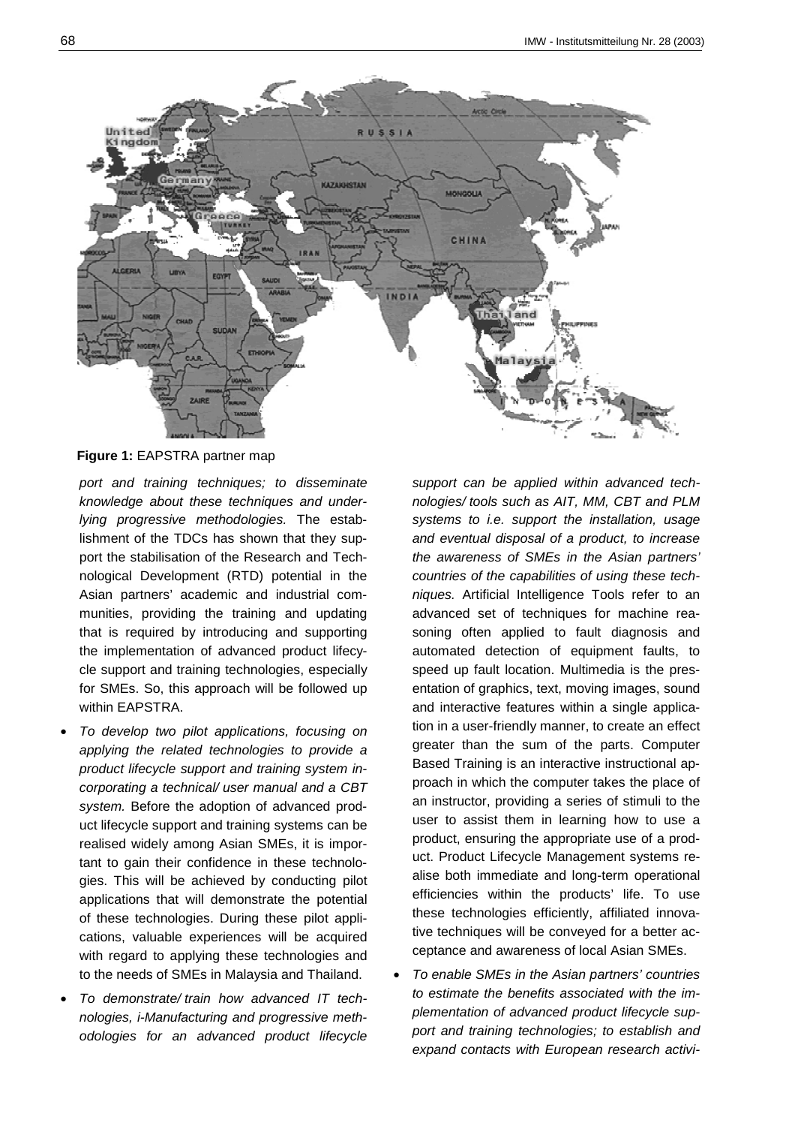

**Figure 1:** EAPSTRA partner map

*port and training techniques; to disseminate knowledge about these techniques and underlying progressive methodologies.* The establishment of the TDCs has shown that they support the stabilisation of the Research and Technological Development (RTD) potential in the Asian partners' academic and industrial communities, providing the training and updating that is required by introducing and supporting the implementation of advanced product lifecycle support and training technologies, especially for SMEs. So, this approach will be followed up within EAPSTRA.

- *To develop two pilot applications, focusing on applying the related technologies to provide a product lifecycle support and training system incorporating a technical/ user manual and a CBT system.* Before the adoption of advanced product lifecycle support and training systems can be realised widely among Asian SMEs, it is important to gain their confidence in these technologies. This will be achieved by conducting pilot applications that will demonstrate the potential of these technologies. During these pilot applications, valuable experiences will be acquired with regard to applying these technologies and to the needs of SMEs in Malaysia and Thailand.
- *To demonstrate/ train how advanced IT technologies, i-Manufacturing and progressive methodologies for an advanced product lifecycle*

*support can be applied within advanced technologies/ tools such as AIT, MM, CBT and PLM systems to i.e. support the installation, usage and eventual disposal of a product, to increase the awareness of SMEs in the Asian partners' countries of the capabilities of using these techniques.* Artificial Intelligence Tools refer to an advanced set of techniques for machine reasoning often applied to fault diagnosis and automated detection of equipment faults, to speed up fault location. Multimedia is the presentation of graphics, text, moving images, sound and interactive features within a single application in a user-friendly manner, to create an effect greater than the sum of the parts. Computer Based Training is an interactive instructional approach in which the computer takes the place of an instructor, providing a series of stimuli to the user to assist them in learning how to use a product, ensuring the appropriate use of a product. Product Lifecycle Management systems realise both immediate and long-term operational efficiencies within the products' life. To use these technologies efficiently, affiliated innovative techniques will be conveyed for a better acceptance and awareness of local Asian SMEs.

• *To enable SMEs in the Asian partners' countries to estimate the benefits associated with the implementation of advanced product lifecycle support and training technologies; to establish and expand contacts with European research activi-*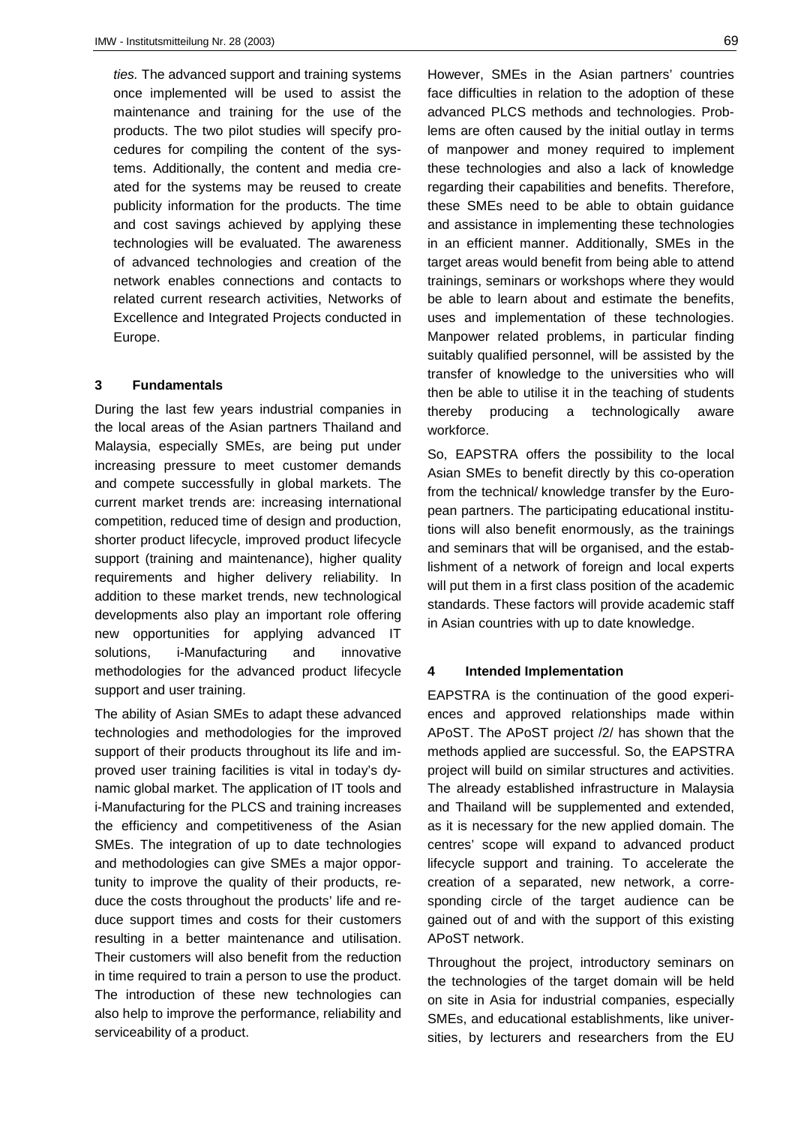*ties.* The advanced support and training systems once implemented will be used to assist the maintenance and training for the use of the products. The two pilot studies will specify procedures for compiling the content of the systems. Additionally, the content and media created for the systems may be reused to create publicity information for the products. The time and cost savings achieved by applying these technologies will be evaluated. The awareness of advanced technologies and creation of the network enables connections and contacts to related current research activities, Networks of Excellence and Integrated Projects conducted in Europe.

#### **3 Fundamentals**

During the last few years industrial companies in the local areas of the Asian partners Thailand and Malaysia, especially SMEs, are being put under increasing pressure to meet customer demands and compete successfully in global markets. The current market trends are: increasing international competition, reduced time of design and production, shorter product lifecycle, improved product lifecycle support (training and maintenance), higher quality requirements and higher delivery reliability. In addition to these market trends, new technological developments also play an important role offering new opportunities for applying advanced IT solutions, i-Manufacturing and innovative methodologies for the advanced product lifecycle support and user training.

The ability of Asian SMEs to adapt these advanced technologies and methodologies for the improved support of their products throughout its life and improved user training facilities is vital in today's dynamic global market. The application of IT tools and i-Manufacturing for the PLCS and training increases the efficiency and competitiveness of the Asian SMEs. The integration of up to date technologies and methodologies can give SMEs a major opportunity to improve the quality of their products, reduce the costs throughout the products' life and reduce support times and costs for their customers resulting in a better maintenance and utilisation. Their customers will also benefit from the reduction in time required to train a person to use the product. The introduction of these new technologies can also help to improve the performance, reliability and serviceability of a product.

However, SMEs in the Asian partners' countries face difficulties in relation to the adoption of these advanced PLCS methods and technologies. Problems are often caused by the initial outlay in terms of manpower and money required to implement these technologies and also a lack of knowledge regarding their capabilities and benefits. Therefore, these SMEs need to be able to obtain guidance and assistance in implementing these technologies in an efficient manner. Additionally, SMEs in the target areas would benefit from being able to attend trainings, seminars or workshops where they would be able to learn about and estimate the benefits, uses and implementation of these technologies. Manpower related problems, in particular finding suitably qualified personnel, will be assisted by the transfer of knowledge to the universities who will then be able to utilise it in the teaching of students thereby producing a technologically aware workforce.

So, EAPSTRA offers the possibility to the local Asian SMEs to benefit directly by this co-operation from the technical/ knowledge transfer by the European partners. The participating educational institutions will also benefit enormously, as the trainings and seminars that will be organised, and the establishment of a network of foreign and local experts will put them in a first class position of the academic standards. These factors will provide academic staff in Asian countries with up to date knowledge.

#### **4 Intended Implementation**

EAPSTRA is the continuation of the good experiences and approved relationships made within APoST. The APoST project /2/ has shown that the methods applied are successful. So, the EAPSTRA project will build on similar structures and activities. The already established infrastructure in Malaysia and Thailand will be supplemented and extended, as it is necessary for the new applied domain. The centres' scope will expand to advanced product lifecycle support and training. To accelerate the creation of a separated, new network, a corresponding circle of the target audience can be gained out of and with the support of this existing APoST network.

Throughout the project, introductory seminars on the technologies of the target domain will be held on site in Asia for industrial companies, especially SMEs, and educational establishments, like universities, by lecturers and researchers from the EU